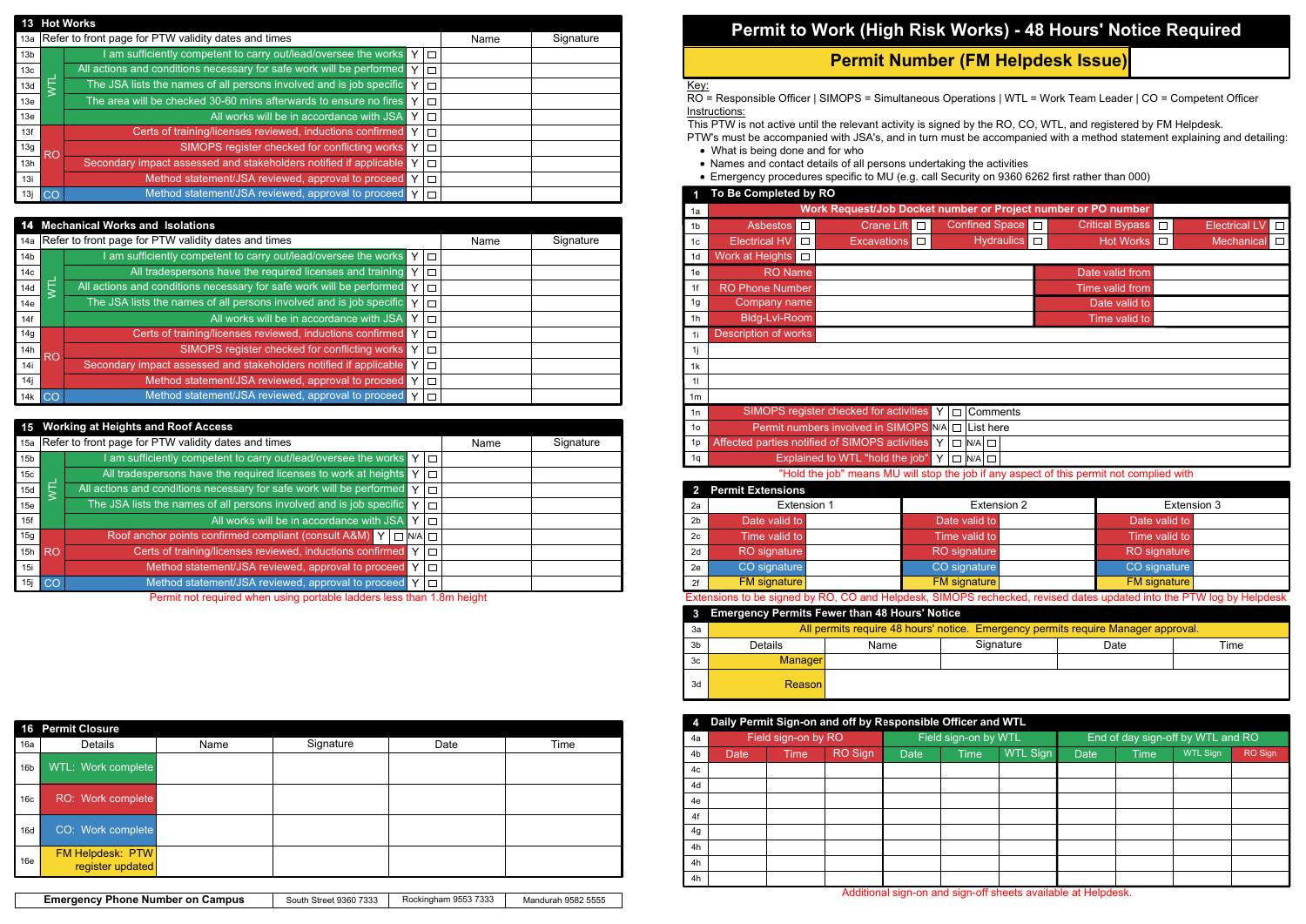| <b>Emergency Phone Number on Campus</b> | South Street 9360 7333 | Rockingham 9553 7333 | Mandurah 9582 5555 |  |
|-----------------------------------------|------------------------|----------------------|--------------------|--|
|-----------------------------------------|------------------------|----------------------|--------------------|--|

|      | nments |
|------|--------|
| here |        |
|      |        |
|      |        |

## **Permit to Work (High Risk Works) - 48 Hours' Notice Required**

RO = Responsible Officer | SIMOPS = Simultaneous Operations | WTL = Work Team Leader | CO = Competent Officer Instructions:

## **Permit Number (FM Helpdesk Issue)**

- What is being done and for who
- · Names and contact details of all persons undertaking the activities
- · Emergency procedures specific to MU (e.g. call Security on 9360 6262 first rather than 000)

## Key:

This PTW is not active until the relevant activity is signed by the RO, CO, WTL, and registered by FM Helpdesk. PTW's must be accompanied with JSA's, and in turn must be accompanied with a method statement explaining and detailing:

|                 | <b>16 Permit Closure</b>                    |      |           |      |      |
|-----------------|---------------------------------------------|------|-----------|------|------|
| 16a             | Details                                     | Name | Signature | Date | Time |
| 16 <sub>b</sub> | WTL: Work complete                          |      |           |      |      |
| 16 <sub>c</sub> | RO: Work complete                           |      |           |      |      |
| 16d             | CO: Work complete                           |      |           |      |      |
| 16e             | <b>FM Helpdesk: PTW</b><br>register updated |      |           |      |      |

| 1              | To Be Completed by RO                                                                                                |                                                                                          |                           |        |                        |                     |                      |
|----------------|----------------------------------------------------------------------------------------------------------------------|------------------------------------------------------------------------------------------|---------------------------|--------|------------------------|---------------------|----------------------|
| 1a             |                                                                                                                      | Work Request/Job Docket number or Project number or PO number                            |                           |        |                        |                     |                      |
| 1 <sub>b</sub> | <b>Asbestos</b><br>$\Box$                                                                                            | Crane Lift <b>D</b>                                                                      | <b>Confined Space</b>     | $\Box$ | <b>Critical Bypass</b> | $\Box$              | <b>Electrical LV</b> |
| 1 <sub>c</sub> | <b>Electrical HV</b><br>$\Box$                                                                                       | <b>Excavations</b><br>$\Box$                                                             | <b>Hydraulics</b>         | $\Box$ | <b>Hot Works</b>       | $\Box$              | Mechanical           |
| 1d             | Work at Heights<br>$\Box$                                                                                            |                                                                                          |                           |        |                        |                     |                      |
| 1e             | <b>RO Name</b>                                                                                                       |                                                                                          |                           |        | Date valid from        |                     |                      |
| 1f             | <b>RO Phone Number</b>                                                                                               |                                                                                          |                           |        | Time valid from        |                     |                      |
| 1g             | Company name                                                                                                         |                                                                                          |                           |        | Date valid to          |                     |                      |
| 1 <sub>h</sub> | Bldg-Lvl-Room                                                                                                        |                                                                                          |                           |        | Time valid to          |                     |                      |
| 1i             | <b>Description of works</b>                                                                                          |                                                                                          |                           |        |                        |                     |                      |
| 11             |                                                                                                                      |                                                                                          |                           |        |                        |                     |                      |
| 1k             |                                                                                                                      |                                                                                          |                           |        |                        |                     |                      |
| 11             |                                                                                                                      |                                                                                          |                           |        |                        |                     |                      |
| 1 <sub>m</sub> |                                                                                                                      |                                                                                          |                           |        |                        |                     |                      |
| 1n             |                                                                                                                      | SIMOPS register checked for activities                                                   | Y.<br>Comments<br>$\Box$  |        |                        |                     |                      |
| 1 <sub>o</sub> |                                                                                                                      | Permit numbers involved in SIMOPS N/A                                                    | $\Box$ List here          |        |                        |                     |                      |
| 1p             |                                                                                                                      | Affected parties notified of SIMOPS activities                                           | $\Box$ N/A $\Box$<br>Y    |        |                        |                     |                      |
| 1q             |                                                                                                                      | Explained to WTL "hold the job"                                                          | Y<br>$\Box$ N/A<br>$\Box$ |        |                        |                     |                      |
|                |                                                                                                                      | "Hold the job" means MU will stop the job if any aspect of this permit not complied with |                           |        |                        |                     |                      |
|                | <b>Permit Extensions</b>                                                                                             |                                                                                          |                           |        |                        |                     |                      |
| 2a             | Extension 1                                                                                                          |                                                                                          | Extension 2               |        |                        |                     | Extension 3          |
| 2 <sub>b</sub> | Date valid to                                                                                                        |                                                                                          | Date valid to             |        |                        | Date valid to       |                      |
| 2c             | Time valid to                                                                                                        |                                                                                          | Time valid to             |        |                        | Time valid to       |                      |
| 2d             | <b>RO</b> signature                                                                                                  |                                                                                          | <b>RO</b> signature       |        |                        | <b>RO</b> signature |                      |
| 2e             | CO signature                                                                                                         |                                                                                          | CO signature              |        |                        | CO signature        |                      |
| 2f             | <b>FM</b> signature                                                                                                  |                                                                                          | <b>FM</b> signature       |        |                        | <b>FM</b> signature |                      |
|                | Extensions to be signed by RO, CO and Helpdesk, SIMOPS rechecked, revised dates updated into the PTW log by Helpdesk |                                                                                          |                           |        |                        |                     |                      |
| 3              |                                                                                                                      | <b>Emergency Permits Fewer than 48 Hours' Notice</b>                                     |                           |        |                        |                     |                      |
| 3a             |                                                                                                                      | All permits require 48 hours' notice. Emergency permits require Manager approval.        |                           |        |                        |                     |                      |
| 3 <sub>b</sub> | <b>Details</b>                                                                                                       | Name                                                                                     | Signature                 |        | Date                   |                     | Time                 |
| 3c             | <b>Manager</b>                                                                                                       |                                                                                          |                           |        |                        |                     |                      |
| 3d             | Reason                                                                                                               |                                                                                          |                           |        |                        |                     |                      |

Permit not required when using portable ladders less than 1.8m height

|                 |           | <b>Working at Heights and Roof Access</b>                                                        |  |      |           |  |
|-----------------|-----------|--------------------------------------------------------------------------------------------------|--|------|-----------|--|
|                 |           | 15a Refer to front page for PTW validity dates and times                                         |  | Name | Signature |  |
| 15 <sub>b</sub> |           | am sufficiently competent to carry out/lead/oversee the works $Y \Box$                           |  |      |           |  |
| 15c             |           | All tradespersons have the required licenses to work at heights $\mathbf{Y}$ $\Box$              |  |      |           |  |
| 15d             |           | All actions and conditions necessary for safe work will be performed $\boxed{Y}$ $\boxed{ \Box}$ |  |      |           |  |
| 15e             |           | The JSA lists the names of all persons involved and is job specific Y                            |  |      |           |  |
| 15f             |           | All works will be in accordance with JSA Y                                                       |  |      |           |  |
| 15g             |           | Roof anchor points confirmed compliant (consult A&M) $Y \Box$ N/A $\Box$                         |  |      |           |  |
| 15h             | <b>RO</b> | Certs of training/licenses reviewed, inductions confirmed Y                                      |  |      |           |  |
| 15i             |           | Method statement/JSA reviewed, approval to proceed Y                                             |  |      |           |  |
| 15i             | CO        | Method statement/JSA reviewed, approval to proceed Y                                             |  |      |           |  |
|                 |           | Dermit not required when using nextable ledders less than 1 0m hojght                            |  |      |           |  |

| 4  | Daily Permit Sign-on and off by Responsible Officer and WTL |                     |         |             |                      |          |             |             |                                   |         |  |  |
|----|-------------------------------------------------------------|---------------------|---------|-------------|----------------------|----------|-------------|-------------|-----------------------------------|---------|--|--|
| 4a |                                                             | Field sign-on by RO |         |             | Field sign-on by WTL |          |             |             | End of day sign-off by WTL and RO |         |  |  |
| 4b | <b>Date</b>                                                 | <b>Time</b>         | RO Sign | <b>Date</b> | <b>Time</b>          | WTL Sign | <b>Date</b> | <b>Time</b> | WTL Sign                          | RO Sign |  |  |
| 4c |                                                             |                     |         |             |                      |          |             |             |                                   |         |  |  |
| 4d |                                                             |                     |         |             |                      |          |             |             |                                   |         |  |  |
| 4e |                                                             |                     |         |             |                      |          |             |             |                                   |         |  |  |
| 4f |                                                             |                     |         |             |                      |          |             |             |                                   |         |  |  |
| 4g |                                                             |                     |         |             |                      |          |             |             |                                   |         |  |  |
| 4h |                                                             |                     |         |             |                      |          |             |             |                                   |         |  |  |
| 4h |                                                             |                     |         |             |                      |          |             |             |                                   |         |  |  |
| 4h |                                                             |                     |         |             |                      |          |             |             |                                   |         |  |  |

| <b>Hot Works</b><br>13 |  |                                                                                   |  |      |           |  |  |  |  |  |
|------------------------|--|-----------------------------------------------------------------------------------|--|------|-----------|--|--|--|--|--|
|                        |  | 13a Refer to front page for PTW validity dates and times                          |  | Name | Signature |  |  |  |  |  |
| 13 <sub>b</sub>        |  | I am sufficiently competent to carry out/lead/oversee the works $Y \Box$          |  |      |           |  |  |  |  |  |
| 13c                    |  | All actions and conditions necessary for safe work will be performed $\mathbf{Y}$ |  |      |           |  |  |  |  |  |
| 13d                    |  | The JSA lists the names of all persons involved and is job specific               |  |      |           |  |  |  |  |  |
| 13e                    |  | The area will be checked 30-60 mins afterwards to ensure no fires                 |  |      |           |  |  |  |  |  |
| 13e                    |  | All works will be in accordance with JSA                                          |  |      |           |  |  |  |  |  |
| 13f                    |  | Certs of training/licenses reviewed, inductions confirmed                         |  |      |           |  |  |  |  |  |
| 13g                    |  | SIMOPS register checked for conflicting works                                     |  |      |           |  |  |  |  |  |
| 13h                    |  | Secondary impact assessed and stakeholders notified if applicable                 |  |      |           |  |  |  |  |  |
| 13i                    |  | Method statement/JSA reviewed, approval to proceed                                |  |      |           |  |  |  |  |  |
| $13j$ $CO2$            |  | Method statement/JSA reviewed, approval to proceed                                |  |      |           |  |  |  |  |  |

|                 |           | <b>Mechanical Works and Isolations</b>                                            |           |  |  |  |
|-----------------|-----------|-----------------------------------------------------------------------------------|-----------|--|--|--|
|                 |           | 14a Refer to front page for PTW validity dates and times                          | Signature |  |  |  |
| 14 <sub>b</sub> |           | am sufficiently competent to carry out/lead/oversee the works Y                   |           |  |  |  |
| 14 <sub>c</sub> |           | All tradespersons have the required licenses and training Y                       |           |  |  |  |
| 14d             |           | All actions and conditions necessary for safe work will be performed $\mathbf{v}$ |           |  |  |  |
| 14e             |           | The JSA lists the names of all persons involved and is job specific $\mathbf{Y}$  |           |  |  |  |
| 14f             |           | All works will be in accordance with JSA Y                                        |           |  |  |  |
| 14g             |           | Certs of training/licenses reviewed, inductions confirmed Y                       |           |  |  |  |
| 14h             | <b>RC</b> | SIMOPS register checked for conflicting works Y                                   |           |  |  |  |
| 14i             |           | Secondary impact assessed and stakeholders notified if applicable Y               |           |  |  |  |
| 14j             |           | Method statement/JSA reviewed, approval to proceed Y                              |           |  |  |  |
|                 | 14k CO    | Method statement/JSA reviewed, approval to proceed Y                              |           |  |  |  |

Additional sign-on and sign-off sheets available at Helpdesk.